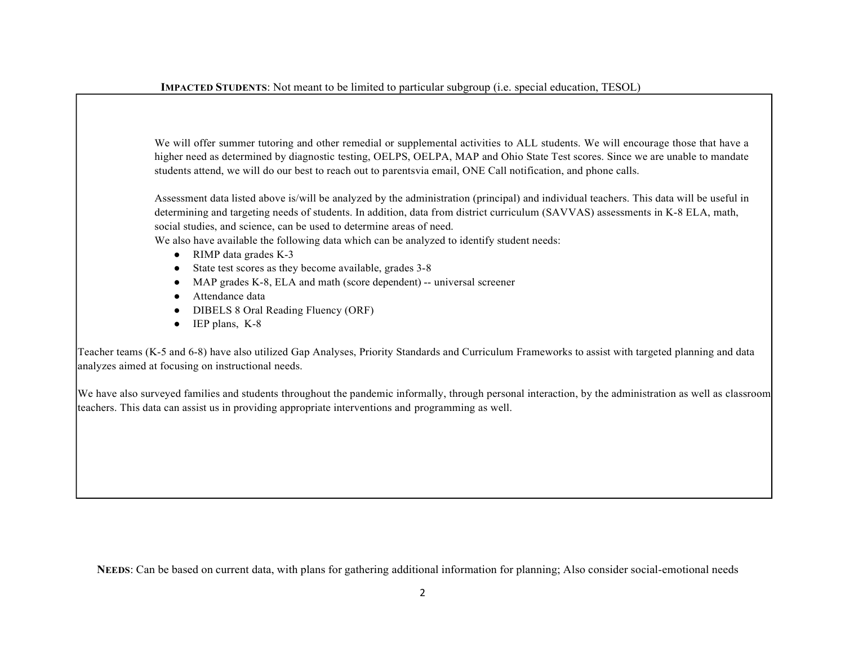We will offer summer tutoring and other remedial or supplemental activities to ALL students. We will encourage those that have a higher need as determined by diagnostic testing, OELPS, OELPA, MAP and Ohio State Test scores. Since we are unable to mandate students attend, we will do our best to reach out to parentsvia email, ONE Call notification, and phone calls.

Assessment data listed above is/will be analyzed by the administration (principal) and individual teachers. This data will be useful in determining and targeting needs of students. In addition, data from district curriculum (SAVVAS) assessments in K-8 ELA, math, social studies, and science, can be used to determine areas of need.

We also have available the following data which can be analyzed to identify student needs:

- RIMP data grades K-3
- State test scores as they become available, grades 3-8
- MAP grades K-8, ELA and math (score dependent) -- universal screener
- Attendance data
- DIBELS 8 Oral Reading Fluency (ORF)
- IEP plans, K-8

Teacher teams (K-5 and 6-8) have also utilized Gap Analyses, Priority Standards and Curriculum Frameworks to assist with targeted planning and data analyzes aimed at focusing on instructional needs.

We have also surveyed families and students throughout the pandemic informally, through personal interaction, by the administration as well as classroom teachers. This data can assist us in providing appropriate interventions and programming as well.

**NEEDS**: Can be based on current data, with plans for gathering additional information for planning; Also consider social-emotional needs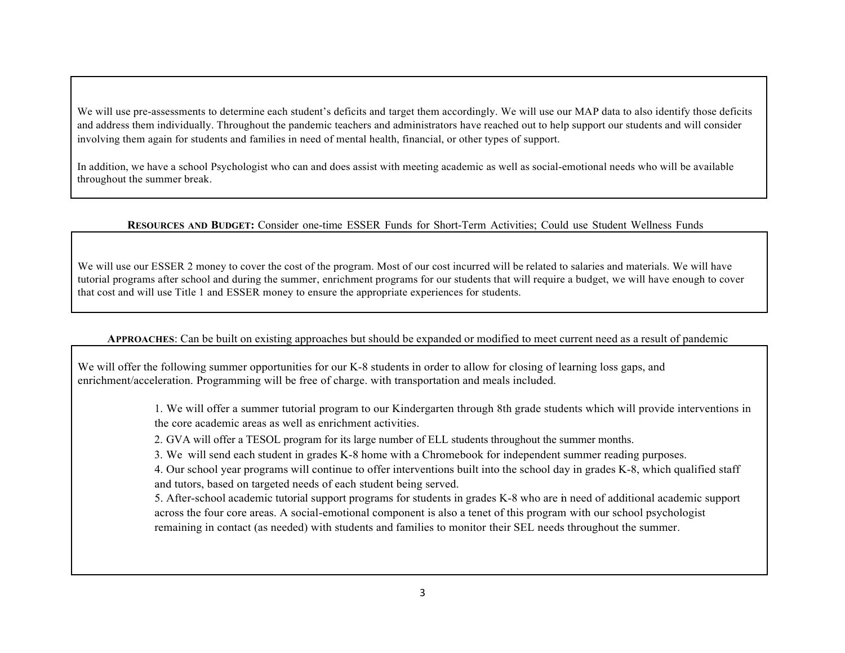We will use pre-assessments to determine each student's deficits and target them accordingly. We will use our MAP data to also identify those deficits and address them individually. Throughout the pandemic teachers and administrators have reached out to help support our students and will consider involving them again for students and families in need of mental health, financial, or other types of support.

In addition, we have a school Psychologist who can and does assist with meeting academic as well as social-emotional needs who will be available throughout the summer break.

## **RESOURCES AND BUDGET:** Consider one-time ESSER Funds for Short-Term Activities; Could use Student Wellness Funds

We will use our ESSER 2 money to cover the cost of the program. Most of our cost incurred will be related to salaries and materials. We will have tutorial programs after school and during the summer, enrichment programs for our students that will require a budget, we will have enough to cover that cost and will use Title 1 and ESSER money to ensure the appropriate experiences for students.

## **APPROACHES**: Can be built on existing approaches but should be expanded or modified to meet current need as a result of pandemic

We will offer the following summer opportunities for our K-8 students in order to allow for closing of learning loss gaps, and enrichment/acceleration. Programming will be free of charge. with transportation and meals included.

> 1. We will offer a summer tutorial program to our Kindergarten through 8th grade students which will provide interventions in the core academic areas as well as enrichment activities.

2. GVA will offer a TESOL program for its large number of ELL students throughout the summer months.

3. We will send each student in grades K-8 home with a Chromebook for independent summer reading purposes.

4. Our school year programs will continue to offer interventions built into the school day in grades K-8, which qualified staff and tutors, based on targeted needs of each student being served.

5. After-school academic tutorial support programs for students in grades K-8 who are in need of additional academic support across the four core areas. A social-emotional component is also a tenet of this program with our school psychologist remaining in contact (as needed) with students and families to monitor their SEL needs throughout the summer.